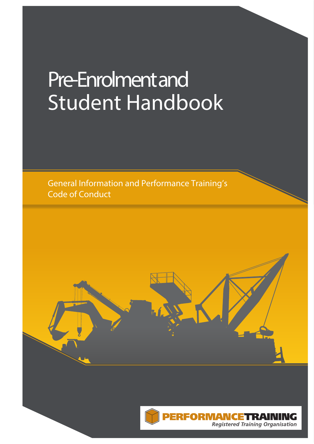# **Pre-Enrolment and Student Handbook**

General Information and Performance Training's **Code of Conduct** 



NRI

**NG Registered Training Organisation**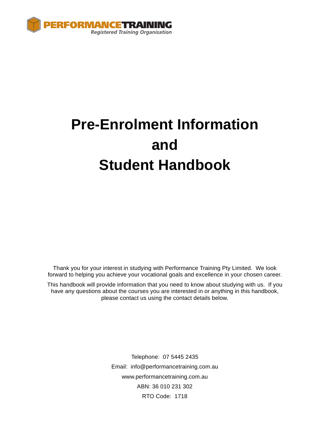

# **Pre-Enrolment Information and Student Handbook**

Thank you for your interest in studying with Performance Training Pty Limited. We look forward to helping you achieve your vocational goals and excellence in your chosen career.

This handbook will provide information that you need to know about studying with us. If you have any questions about the courses you are interested in or anything in this handbook, please contact us using the contact details below.

> Telephone: 07 5445 2435 Email: info@performancetraining.com.au www.performancetraining.com.au ABN: 36 010 231 302 RTO Code: 1718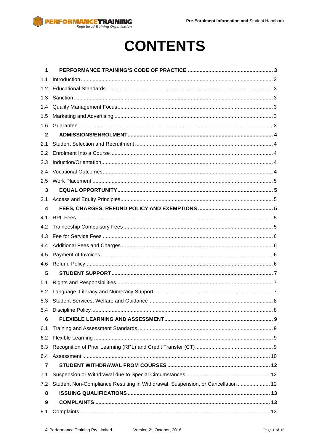

# **CONTENTS**

| 1                       |                                                                                 |  |  |  |
|-------------------------|---------------------------------------------------------------------------------|--|--|--|
| 1.1                     |                                                                                 |  |  |  |
| 1.2                     |                                                                                 |  |  |  |
| 1.3                     |                                                                                 |  |  |  |
| 1.4                     |                                                                                 |  |  |  |
| 1.5                     |                                                                                 |  |  |  |
| 1.6                     |                                                                                 |  |  |  |
| $\mathbf{2}$            |                                                                                 |  |  |  |
| 2.1                     |                                                                                 |  |  |  |
| 2.2                     |                                                                                 |  |  |  |
| 2.3                     |                                                                                 |  |  |  |
| 2.4                     |                                                                                 |  |  |  |
| 2.5                     |                                                                                 |  |  |  |
| 3                       |                                                                                 |  |  |  |
| 3.1                     |                                                                                 |  |  |  |
| $\overline{\mathbf{4}}$ |                                                                                 |  |  |  |
| 4.1                     |                                                                                 |  |  |  |
| 4.2                     |                                                                                 |  |  |  |
| 4.3                     |                                                                                 |  |  |  |
| 4.4                     |                                                                                 |  |  |  |
| 4.5                     |                                                                                 |  |  |  |
| 4.6                     |                                                                                 |  |  |  |
| 5                       |                                                                                 |  |  |  |
| 5.1                     |                                                                                 |  |  |  |
| 5.2                     |                                                                                 |  |  |  |
| 5.3                     |                                                                                 |  |  |  |
| 5.4                     |                                                                                 |  |  |  |
| 6                       |                                                                                 |  |  |  |
| 6.1                     |                                                                                 |  |  |  |
| 6.2                     |                                                                                 |  |  |  |
| 6.3                     |                                                                                 |  |  |  |
| 6.4                     |                                                                                 |  |  |  |
| $\overline{7}$          |                                                                                 |  |  |  |
| 7.1                     |                                                                                 |  |  |  |
| 7.2                     | Student Non-Compliance Resulting in Withdrawal, Suspension, or Cancellation  12 |  |  |  |
| 8                       |                                                                                 |  |  |  |
| 9                       |                                                                                 |  |  |  |
| 9.1                     |                                                                                 |  |  |  |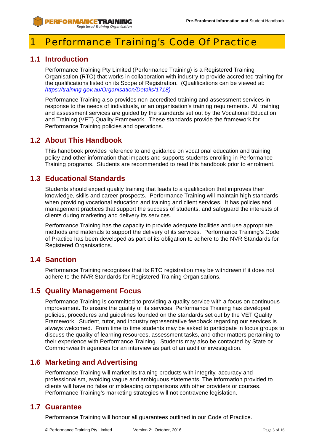# **Performance Training's Code Of Practice**

# **1.1 Introduction**

Performance Training Pty Limited (Performance Training) is a Registered Training Organisation (RTO) that works in collaboration with industry to provide accredited training for the qualifications listed on its Scope of Registration. (Qualifications can be viewed at: *https://training.gov.au/Organisation/Details/1718)*

Performance Training also provides non-accredited training and assessment services in response to the needs of individuals, or an organisation's training requirements. All training and assessment services are guided by the standards set out by the Vocational Education and Training (VET) Quality Framework. These standards provide the framework for Performance Training policies and operations.

# **1.2 About This Handbook**

This handbook provides reference to and guidance on vocational education and training policy and other information that impacts and supports students enrolling in Performance Training programs. Students are recommended to read this handbook prior to enrolment.

# **1.3 Educational Standards**

Students should expect quality training that leads to a qualification that improves their knowledge, skills and career prospects. Performance Training will maintain high standards when providing vocational education and training and client services. It has policies and management practices that support the success of students, and safeguard the interests of clients during marketing and delivery its services.

Performance Training has the capacity to provide adequate facilities and use appropriate methods and materials to support the delivery of its services. Performance Training's Code of Practice has been developed as part of its obligation to adhere to the NVR Standards for Registered Organisations.

# **1.4 Sanction**

Performance Training recognises that its RTO registration may be withdrawn if it does not adhere to the NVR Standards for Registered Training Organisations.

# **1.5 Quality Management Focus**

Performance Training is committed to providing a quality service with a focus on continuous improvement. To ensure the quality of its services, Performance Training has developed policies, procedures and guidelines founded on the standards set out by the VET Quality Framework. Student, tutor, and industry representative feedback regarding our services is always welcomed. From time to time students may be asked to participate in focus groups to discuss the quality of learning resources, assessment tasks, and other matters pertaining to their experience with Performance Training. Students may also be contacted by State or Commonwealth agencies for an interview as part of an audit or investigation.

# **1.6 Marketing and Advertising**

Performance Training will market its training products with integrity, accuracy and professionalism, avoiding vague and ambiguous statements. The information provided to clients will have no false or misleading comparisons with other providers or courses. Performance Training's marketing strategies will not contravene legislation.

# **1.7 Guarantee**

Performance Training will honour all guarantees outlined in our Code of Practice.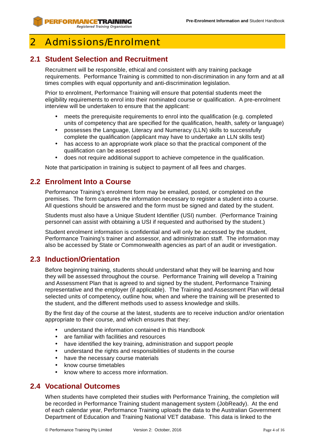# Admissions/Fnrolment

# **2.1 Student Selection and Recruitment**

Recruitment will be responsible, ethical and consistent with any training package requirements. Performance Training is committed to non-discrimination in any form and at all times complies with equal opportunity and anti-discrimination legislation.

Prior to enrolment, Performance Training will ensure that potential students meet the eligibility requirements to enrol into their nominated course or qualification. A pre-enrolment interview will be undertaken to ensure that the applicant:

- meets the prerequisite requirements to enrol into the qualification (e.g. completed units of competency that are specified for the qualification, health, safety or language)
- possesses the Language, Literacy and Numeracy (LLN) skills to successfully complete the qualification (applicant may have to undertake an LLN skills test)
- has access to an appropriate work place so that the practical component of the qualification can be assessed
- does not require additional support to achieve competence in the qualification.

Note that participation in training is subject to payment of all fees and charges.

### **2.2 Enrolment Into a Course**

Performance Training's enrolment form may be emailed, posted, or completed on the premises. The form captures the information necessary to register a student into a course. All questions should be answered and the form must be signed and dated by the student.

Students must also have a Unique Student Identifier (USI) number. (Performance Training personnel can assist with obtaining a USI if requested and authorised by the student.)

Student enrolment information is confidential and will only be accessed by the student, Performance Training's trainer and assessor, and administration staff. The information may also be accessed by State or Commonwealth agencies as part of an audit or investigation.

# **2.3 Induction/Orientation**

Before beginning training, students should understand what they will be learning and how they will be assessed throughout the course. Performance Training will develop a Training and Assessment Plan that is agreed to and signed by the student, Performance Training representative and the employer (if applicable). The Training and Assessment Plan will detail selected units of competency, outline how, when and where the training will be presented to the student, and the different methods used to assess knowledge and skills.

By the first day of the course at the latest, students are to receive induction and/or orientation appropriate to their course, and which ensures that they:

- understand the information contained in this Handbook
- are familiar with facilities and resources
- have identified the key training, administration and support people
- understand the rights and responsibilities of students in the course
- have the necessary course materials
- know course timetables
- know where to access more information.

### **2.4 Vocational Outcomes**

When students have completed their studies with Performance Training, the completion will be recorded in Performance Training student management system (JobReady). At the end of each calendar year, Performance Training uploads the data to the Australian Government Department of Education and Training National VET database. This data is linked to the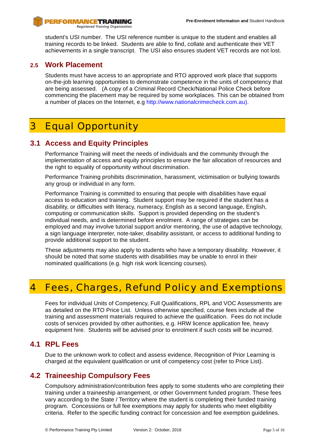student's USI number. The USI reference number is unique to the student and enables all training records to be linked. Students are able to find, collate and authenticate their VET achievements in a single transcript. The USI also ensures student VET records are not lost.

### **2.5 Work Placement**

Students must have access to an appropriate and RTO approved work place that supports on-the-job learning opportunities to demonstrate competence in the units of competency that are being assessed. (A copy of a Criminal Record Check/National Police Check before commencing the placement may be required by some workplaces. This can be obtained from a number of places on the Internet, e.g http://www.nationalcrimecheck.com.au).

# 3 Equal Opportunity

# **3.1 Access and Equity Principles**

Performance Training will meet the needs of individuals and the community through the implementation of access and equity principles to ensure the fair allocation of resources and the right to equality of opportunity without discrimination.

Performance Training prohibits discrimination, harassment, victimisation or bullying towards any group or individual in any form.

Performance Training is committed to ensuring that people with disabilities have equal access to education and training. Student support may be required if the student has a disability, or difficulties with literacy, numeracy, English as a second language, English, computing or communication skills. Support is provided depending on the student's individual needs, and is determined before enrolment. A range of strategies can be employed and may involve tutorial support and/or mentoring, the use of adaptive technology, a sign language interpreter, note-taker, disability assistant, or access to additional funding to provide additional support to the student.

These adjustments may also apply to students who have a temporary disability. However, it should be noted that some students with disabilities may be unable to enrol in their nominated qualifications (e.g. high risk work licencing courses).

# 4 Fees, Charges, Refund Policy and Exemptions

Fees for individual Units of Competency, Full Qualifications, RPL and VOC Assessments are as detailed on the RTO Price List. Unless otherwise specified, course fees include all the training and assessment materials required to achieve the qualification. Fees do not include costs of services provided by other authorities, e.g. HRW licence application fee, heavy equipment hire. Students will be advised prior to enrolment if such costs will be incurred.

# **4.1 RPL Fees**

Due to the unknown work to collect and assess evidence, Recognition of Prior Learning is charged at the equivalent qualification or unit of competency cost (refer to Price List).

# **4.2 Traineeship Compulsory Fees**

Compulsory administration/contribution fees apply to some students who are completing their training under a traineeship arrangement, or other Government funded program. These fees vary according to the State / Territory where the student is completing their funded training program. Concessions or full fee exemptions may apply for students who meet eligibility criteria. Refer to the specific funding contract for concession and fee exemption guidelines.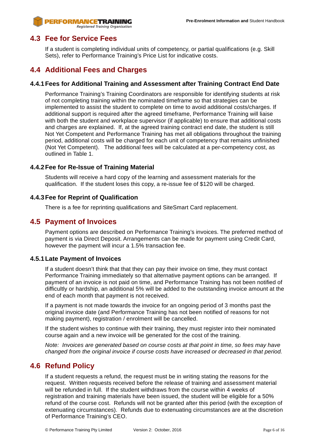### **4.3 Fee for Service Fees**

If a student is completing individual units of competency, or partial qualifications (e.g. Skill Sets), refer to Performance Training's Price List for indicative costs.

### **4.4 Additional Fees and Charges**

#### **4.4.1Fees for Additional Training and Assessment after Training Contract End Date**

Performance Training's Training Coordinators are responsible for identifying students at risk of not completing training within the nominated timeframe so that strategies can be implemented to assist the student to complete on time to avoid additional costs/charges. If additional support is required after the agreed timeframe, Performance Training will liaise with both the student and workplace supervisor (if applicable) to ensure that additional costs and charges are explained. If, at the agreed training contract end date, the student is still Not Yet Competent and Performance Training has met all obligations throughout the training period, additional costs will be charged for each unit of competency that remains unfinished (Not Yet Competent). The additional fees will be calculated at a per-competency cost, as outlined in Table 1.

#### **4.4.2Fee for Re-Issue of Training Material**

Students will receive a hard copy of the learning and assessment materials for the qualification. If the student loses this copy, a re-issue fee of \$120 will be charged.

#### **4.4.3Fee for Reprint of Qualification**

There is a fee for reprinting qualifications and SiteSmart Card replacement.

### **4.5 Payment of Invoices**

Payment options are described on Performance Training's invoices. The preferred method of payment is via Direct Deposit. Arrangements can be made for payment using Credit Card, however the payment will incur a 1.5% transaction fee.

#### **4.5.1Late Payment of Invoices**

If a student doesn't think that that they can pay their invoice on time, they must contact Performance Training immediately so that alternative payment options can be arranged. If payment of an invoice is not paid on time, and Performance Training has not been notified of difficultly or hardship, an additional 5% will be added to the outstanding invoice amount at the end of each month that payment is not received.

If a payment is not made towards the invoice for an ongoing period of 3 months past the original invoice date (and Performance Training has not been notified of reasons for not making payment), registration / enrolment will be cancelled.

If the student wishes to continue with their training, they must register into their nominated course again and a new invoice will be generated for the cost of the training.

*Note: Invoices are generated based on course costs at that point in time, so fees may have changed from the original invoice if course costs have increased or decreased in that period.*

### **4.6 Refund Policy**

If a student requests a refund, the request must be in writing stating the reasons for the request. Written requests received before the release of training and assessment material will be refunded in full. If the student withdraws from the course within 4 weeks of registration and training materials have been issued, the student will be eligible for a 50% refund of the course cost. Refunds will not be granted after this period (with the exception of extenuating circumstances). Refunds due to extenuating circumstances are at the discretion of Performance Training's CEO.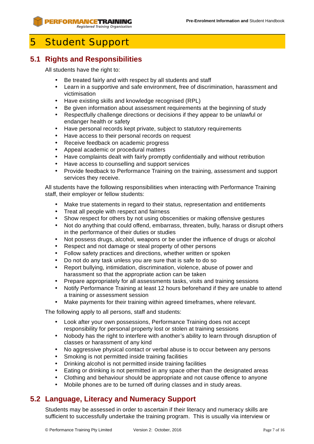# 5 Student Support

# **5.1 Rights and Responsibilities**

All students have the right to:

- Be treated fairly and with respect by all students and staff
- Learn in a supportive and safe environment, free of discrimination, harassment and victimisation
- Have existing skills and knowledge recognised (RPL)
- Be given information about assessment requirements at the beginning of study
- Respectfully challenge directions or decisions if they appear to be unlawful or endanger health or safety
- Have personal records kept private, subject to statutory requirements
- Have access to their personal records on request
- Receive feedback on academic progress
- Appeal academic or procedural matters
- Have complaints dealt with fairly promptly confidentially and without retribution
- Have access to counselling and support services
- Provide feedback to Performance Training on the training, assessment and support services they receive.

All students have the following responsibilities when interacting with Performance Training staff, their employer or fellow students:

- Make true statements in regard to their status, representation and entitlements
- Treat all people with respect and fairness
- Show respect for others by not using obscenities or making offensive gestures
- Not do anything that could offend, embarrass, threaten, bully, harass or disrupt others in the performance of their duties or studies
- Not possess drugs, alcohol, weapons or be under the influence of drugs or alcohol
- Respect and not damage or steal property of other persons
- Follow safety practices and directions, whether written or spoken
- Do not do any task unless you are sure that is safe to do so
- Report bullying, intimidation, discrimination, violence, abuse of power and harassment so that the appropriate action can be taken
- Prepare appropriately for all assessments tasks, visits and training sessions
- Notify Performance Training at least 12 hours beforehand if they are unable to attend a training or assessment session
- Make payments for their training within agreed timeframes, where relevant.

The following apply to all persons, staff and students:

- Look after your own possessions, Performance Training does not accept responsibility for personal property lost or stolen at training sessions
- Nobody has the right to interfere with another's ability to learn through disruption of classes or harassment of any kind
- No aggressive physical contact or verbal abuse is to occur between any persons
- Smoking is not permitted inside training facilities
- Drinking alcohol is not permitted inside training facilities
- Eating or drinking is not permitted in any space other than the designated areas
- Clothing and behaviour should be appropriate and not cause offence to anyone
- Mobile phones are to be turned off during classes and in study areas.

# **5.2 Language, Literacy and Numeracy Support**

Students may be assessed in order to ascertain if their literacy and numeracy skills are sufficient to successfully undertake the training program. This is usually via interview or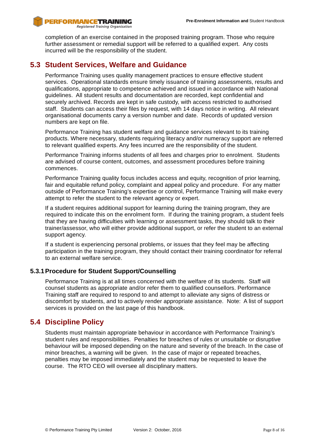completion of an exercise contained in the proposed training program. Those who require further assessment or remedial support will be referred to a qualified expert. Any costs incurred will be the responsibility of the student.

### **5.3 Student Services, Welfare and Guidance**

Performance Training uses quality management practices to ensure effective student services. Operational standards ensure timely issuance of training assessments, results and qualifications, appropriate to competence achieved and issued in accordance with National guidelines. All student results and documentation are recorded, kept confidential and securely archived. Records are kept in safe custody, with access restricted to authorised staff. Students can access their files by request, with 14 days notice in writing. All relevant organisational documents carry a version number and date. Records of updated version numbers are kept on file.

Performance Training has student welfare and guidance services relevant to its training products. Where necessary, students requiring literacy and/or numeracy support are referred to relevant qualified experts. Any fees incurred are the responsibility of the student.

Performance Training informs students of all fees and charges prior to enrolment. Students are advised of course content, outcomes, and assessment procedures before training commences.

Performance Training quality focus includes access and equity, recognition of prior learning, fair and equitable refund policy, complaint and appeal policy and procedure. For any matter outside of Performance Training's expertise or control, Performance Training will make every attempt to refer the student to the relevant agency or expert.

If a student requires additional support for learning during the training program, they are required to indicate this on the enrolment form. If during the training program, a student feels that they are having difficulties with learning or assessment tasks, they should talk to their trainer/assessor, who will either provide additional support, or refer the student to an external support agency.

If a student is experiencing personal problems, or issues that they feel may be affecting participation in the training program, they should contact their training coordinator for referral to an external welfare service.

### **5.3.1Procedure for Student Support/Counselling**

Performance Training is at all times concerned with the welfare of its students. Staff will counsel students as appropriate and/or refer them to qualified counsellors. Performance Training staff are required to respond to and attempt to alleviate any signs of distress or discomfort by students, and to actively render appropriate assistance. Note: A list of support services is provided on the last page of this handbook.

### **5.4 Discipline Policy**

Students must maintain appropriate behaviour in accordance with Performance Training's student rules and responsibilities. Penalties for breaches of rules or unsuitable or disruptive behaviour will be imposed depending on the nature and severity of the breach. In the case of minor breaches, a warning will be given. In the case of major or repeated breaches, penalties may be imposed immediately and the student may be requested to leave the course. The RTO CEO will oversee all disciplinary matters.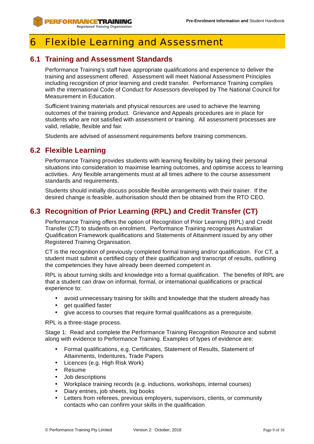# 6 Flexible Learning and Assessment

# **6.1 Training and Assessment Standards**

Performance Training's staff have appropriate qualifications and experience to deliver the training and assessment offered. Assessment will meet National Assessment Principles including recognition of prior learning and credit transfer. Performance Training complies with the international Code of Conduct for Assessors developed by The National Council for Measurement in Education.

Sufficient training materials and physical resources are used to achieve the learning outcomes of the training product. Grievance and Appeals procedures are in place for students who are not satisfied with assessment or training. All assessment processes are valid, reliable, flexible and fair.

Students are advised of assessment requirements before training commences.

# **6.2 Flexible Learning**

Performance Training provides students with learning flexibility by taking their personal situations into consideration to maximise learning outcomes, and optimise access to learning activities. Any flexible arrangements must at all times adhere to the course assessment standards and requirements.

Students should initially discuss possible flexible arrangements with their trainer. If the desired change is feasible, authorisation should then be obtained from the RTO CEO.

# **6.3 Recognition of Prior Learning (RPL) and Credit Transfer (CT)**

Performance Training offers the option of Recognition of Prior Learning (RPL) and Credit Transfer (CT) to students on enrolment. Performance Training recognises Australian Qualification Framework qualifications and Statements of Attainment issued by any other Registered Training Organisation.

CT is the recognition of previously completed formal training and/or qualification. For CT, a student must submit a certified copy of their qualification and transcript of results, outlining the competencies they have already been deemed competent in.

RPL is about turning skills and knowledge into a formal qualification. The benefits of RPL are that a student can draw on informal, formal, or international qualifications or practical experience to:

- avoid unnecessary training for skills and knowledge that the student already has
- get qualified faster
- give access to courses that require formal qualifications as a prerequisite.

RPL is a three-stage process.

Stage 1: Read and complete the Performance Training Recognition Resource and submit along with evidence to Performance Training. Examples of types of evidence are:

- Formal qualifications, e.g. Certificates, Statement of Results, Statement of Attainments, Indentures, Trade Papers
- Licences (e.g. High Risk Work)
- Resume
- Job descriptions
- Workplace training records (e.g. inductions, workshops, internal courses)
- Diary entries, job sheets, log books
- Letters from referees, previous employers, supervisors, clients, or community contacts who can confirm your skills in the qualification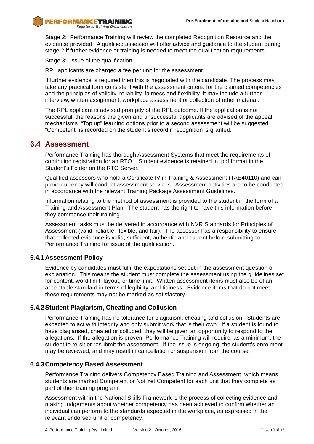Stage 2: Performance Training will review the completed Recognition Resource and the evidence provided. A qualified assessor will offer advice and guidance to the student during stage 2 if further evidence or training is needed to meet the qualification requirements.

Stage 3: Issue of the qualification.

RPL applicants are charged a fee per unit for the assessment.

If further evidence is required then this is negotiated with the candidate. The process may take any practical form consistent with the assessment criteria for the claimed competencies and the principles of validity, reliability, fairness and flexibility. It may include a further interview, written assignment, workplace assessment or collection of other material.

The RPL applicant is advised promptly of the RPL outcome. If the application is not successful, the reasons are given and unsuccessful applicants are advised of the appeal mechanisms. "Top up" learning options prior to a second assessment will be suggested. "Competent" is recorded on the student's record if recognition is granted.

### **6.4 Assessment**

Performance Training has thorough Assessment Systems that meet the requirements of continuing registration for an RTO. Student evidence is retained in .pdf format in the Student's Folder on the RTO Server.

Qualified assessors who hold a Certificate IV in Training & Assessment (TAE40110) and can prove currency will conduct assessment services. Assessment activities are to be conducted in accordance with the relevant Training Package Assessment Guidelines.

Information relating to the method of assessment is provided to the student in the form of a Training and Assessment Plan. The student has the right to have this information before they commence their training.

Assessment tasks must be delivered in accordance with NVR Standards for Principles of Assessment (valid, reliable, flexible, and fair). The assessor has a responsibility to ensure that collected evidence is valid, sufficient, authentic and current before submitting to Performance Training for issue of the qualification.

#### **6.4.1Assessment Policy**

Evidence by candidates must fulfil the expectations set out in the assessment question or explanation. This means the student must complete the assessment using the guidelines set for content, word limit, layout, or time limit. Written assessment items must also be of an acceptable standard in terms of legibility, and tidiness. Evidence items that do not meet these requirements may not be marked as satisfactory.

#### **6.4.2Student Plagiarism, Cheating and Collusion**

Performance Training has no tolerance for plagiarism, cheating and collusion. Students are expected to act with integrity and only submit work that is their own. If a student is found to have plagiarised, cheated or colluded, they will be given an opportunity to respond to the allegations. If the allegation is proven, Performance Training will require, as a minimum, the student to re-sit or resubmit the assessment. If the issue is ongoing, the student's enrolment may be reviewed, and may result in cancellation or suspension from the course.

#### **6.4.3Competency Based Assessment**

Performance Training delivers Competency Based Training and Assessment, which means students are marked Competent or Not Yet Competent for each unit that they complete as part of their training program.

Assessment within the National Skills Framework is the process of collecting evidence and making judgements about whether competency has been achieved to confirm whether an individual can perform to the standards expected in the workplace, as expressed in the relevant endorsed unit of competency.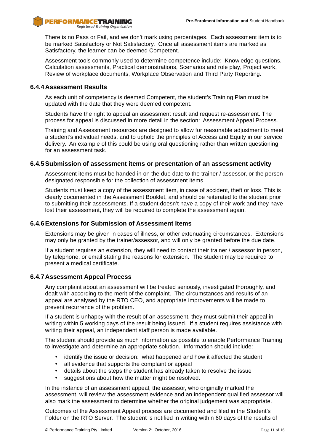

Registered Training Organisation

There is no Pass or Fail, and we don't mark using percentages. Each assessment item is to be marked Satisfactory or Not Satisfactory. Once all assessment items are marked as Satisfactory, the learner can be deemed Competent.

Assessment tools commonly used to determine competence include: Knowledge questions, Calculation assessments, Practical demonstrations, Scenarios and role play, Project work, Review of workplace documents, Workplace Observation and Third Party Reporting.

#### **6.4.4Assessment Results**

As each unit of competency is deemed Competent, the student's Training Plan must be updated with the date that they were deemed competent.

Students have the right to appeal an assessment result and request re-assessment. The process for appeal is discussed in more detail in the section: Assessment Appeal Process.

Training and Assessment resources are designed to allow for reasonable adjustment to meet a student's individual needs, and to uphold the principles of Access and Equity in our service delivery. An example of this could be using oral questioning rather than written questioning for an assessment task.

#### **6.4.5Submission of assessment items or presentation of an assessment activity**

Assessment items must be handed in on the due date to the trainer / assessor, or the person designated responsible for the collection of assessment items.

Students must keep a copy of the assessment item, in case of accident, theft or loss. This is clearly documented in the Assessment Booklet, and should be reiterated to the student prior to submitting their assessments. If a student doesn't have a copy of their work and they have lost their assessment, they will be required to complete the assessment again.

#### **6.4.6Extensions for Submission of Assessment Items**

Extensions may be given in cases of illness, or other extenuating circumstances. Extensions may only be granted by the trainer/assessor, and will only be granted before the due date.

If a student requires an extension, they will need to contact their trainer / assessor in person, by telephone, or email stating the reasons for extension. The student may be required to present a medical certificate.

#### **6.4.7Assessment Appeal Process**

Any complaint about an assessment will be treated seriously, investigated thoroughly, and dealt with according to the merit of the complaint. The circumstances and results of an appeal are analysed by the RTO CEO, and appropriate improvements will be made to prevent recurrence of the problem.

If a student is unhappy with the result of an assessment, they must submit their appeal in writing within 5 working days of the result being issued. If a student requires assistance with writing their appeal, an independent staff person is made available.

The student should provide as much information as possible to enable Performance Training to investigate and determine an appropriate solution. Information should include:

- identify the issue or decision: what happened and how it affected the student
- all evidence that supports the complaint or appeal
- details about the steps the student has already taken to resolve the issue
- suggestions about how the matter might be resolved.

In the instance of an assessment appeal, the assessor, who originally marked the assessment, will review the assessment evidence and an independent qualified assessor will also mark the assessment to determine whether the original judgement was appropriate.

Outcomes of the Assessment Appeal process are documented and filed in the Student's Folder on the RTO Server. The student is notified in writing within 60 days of the results of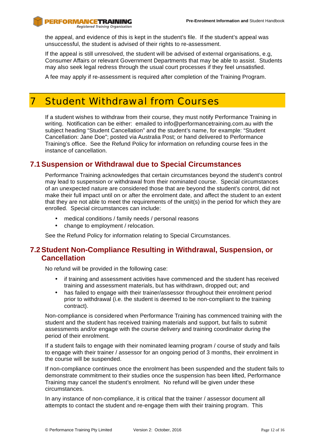the appeal, and evidence of this is kept in the student's file. If the student's appeal was unsuccessful, the student is advised of their rights to re-assessment.

If the appeal is still unresolved, the student will be advised of external organisations, e.g, Consumer Affairs or relevant Government Departments that may be able to assist. Students may also seek legal redress through the usual court processes if they feel unsatisfied.

A fee may apply if re-assessment is required after completion of the Training Program.

# 7 Student Withdrawal from Courses

If a student wishes to withdraw from their course, they must notify Performance Training in writing. Notification can be either: emailed to info@performancetraining.com.au with the subject heading "Student Cancellation" and the student's name, for example: "Student Cancellation: Jane Doe"; posted via Australia Post; or hand delivered to Performance Training's office. See the Refund Policy for information on refunding course fees in the instance of cancellation.

### **7.1Suspension or Withdrawal due to Special Circumstances**

Performance Training acknowledges that certain circumstances beyond the student's control may lead to suspension or withdrawal from their nominated course. Special circumstances of an unexpected nature are considered those that are beyond the student's control, did not make their full impact until on or after the enrolment date, and affect the student to an extent that they are not able to meet the requirements of the unit(s) in the period for which they are enrolled. Special circumstances can include:

- medical conditions / family needs / personal reasons
- change to employment / relocation.

See the Refund Policy for information relating to Special Circumstances.

### **7.2Student Non-Compliance Resulting in Withdrawal, Suspension, or Cancellation**

No refund will be provided in the following case:

- if training and assessment activities have commenced and the student has received training and assessment materials, but has withdrawn, dropped out; and
- has failed to engage with their trainer/assessor throughout their enrolment period prior to withdrawal (i.e. the student is deemed to be non-compliant to the training contract).

Non-compliance is considered when Performance Training has commenced training with the student and the student has received training materials and support, but fails to submit assessments and/or engage with the course delivery and training coordinator during the period of their enrolment.

If a student fails to engage with their nominated learning program / course of study and fails to engage with their trainer / assessor for an ongoing period of 3 months, their enrolment in the course will be suspended.

If non-compliance continues once the enrolment has been suspended and the student fails to demonstrate commitment to their studies once the suspension has been lifted, Performance Training may cancel the student's enrolment. No refund will be given under these circumstances.

In any instance of non-compliance, it is critical that the trainer / assessor document all attempts to contact the student and re-engage them with their training program. This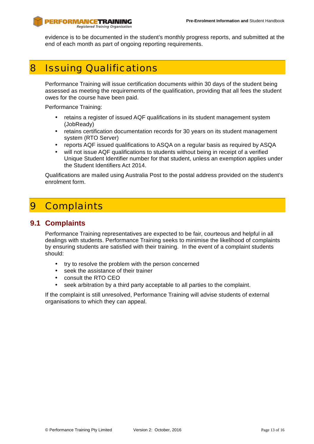evidence is to be documented in the student's monthly progress reports, and submitted at the end of each month as part of ongoing reporting requirements.

# 8 Issuing Qualifications

Performance Training will issue certification documents within 30 days of the student being assessed as meeting the requirements of the qualification, providing that all fees the student owes for the course have been paid.

Performance Training:

- retains a register of issued AQF qualifications in its student management system (JobReady)
- retains certification documentation records for 30 years on its student management system (RTO Server)
- reports AQF issued qualifications to ASQA on a regular basis as required by ASQA
- will not issue AQF qualifications to students without being in receipt of a verified Unique Student Identifier number for that student, unless an exemption applies under the Student Identifiers Act 2014.

Qualifications are mailed using Australia Post to the postal address provided on the student's enrolment form.

# 9 Complaints

### **9.1 Complaints**

Performance Training representatives are expected to be fair, courteous and helpful in all dealings with students. Performance Training seeks to minimise the likelihood of complaints by ensuring students are satisfied with their training. In the event of a complaint students should:

- try to resolve the problem with the person concerned
- seek the assistance of their trainer
- consult the RTO CEO
- seek arbitration by a third party acceptable to all parties to the complaint.

If the complaint is still unresolved, Performance Training will advise students of external organisations to which they can appeal.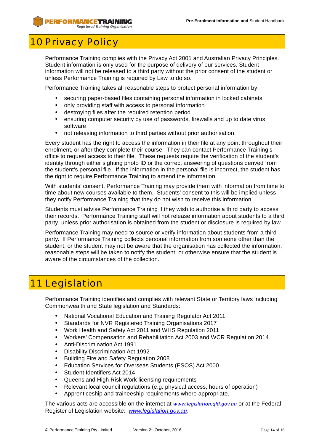# **10 Privacy Policy**

Performance Training complies with the Privacy Act 2001 and Australian Privacy Principles. Student information is only used for the purpose of delivery of our services. Student information will not be released to a third party without the prior consent of the student or unless Performance Training is required by Law to do so.

Performance Training takes all reasonable steps to protect personal information by:

- securing paper-based files containing personal information in locked cabinets
- only providing staff with access to personal information
- destroying files after the required retention period
- ensuring computer security by use of passwords, firewalls and up to date virus software
- not releasing information to third parties without prior authorisation.

Every student has the right to access the information in their file at any point throughout their enrolment, or after they complete their course. They can contact Performance Training's office to request access to their file. These requests require the verification of the student's identity through either sighting photo ID or the correct answering of questions derived from the student's personal file. If the information in the personal file is incorrect, the student has the right to require Performance Training to amend the information.

With students' consent, Performance Training may provide them with information from time to time about new courses available to them. Students' consent to this will be implied unless they notify Performance Training that they do not wish to receive this information.

Students must advise Performance Training if they wish to authorise a third party to access their records. Performance Training staff will not release information about students to a third party, unless prior authorisation is obtained from the student or disclosure is required by law.

Performance Training may need to source or verify information about students from a third party. If Performance Training collects personal information from someone other than the student, or the student may not be aware that the organisation has collected the information, reasonable steps will be taken to notify the student, or otherwise ensure that the student is aware of the circumstances of the collection.

# 11 Legislation

Performance Training identifies and complies with relevant State or Territory laws including Commonwealth and State legislation and Standards:

- National Vocational Education and Training Regulator Act 2011
- Standards for NVR Registered Training Organisations 2017
- Work Health and Safety Act 2011 and WHS Regulation 2011
- Workers' Compensation and Rehabilitation Act 2003 and WCR Regulation 2014
- Anti-Discrimination Act 1991
- Disability Discrimination Act 1992
- Building Fire and Safety Regulation 2008
- Education Services for Overseas Students (ESOS) Act 2000
- Student Identifiers Act 2014
- Queensland High Risk Work licensing requirements
- Relevant local council regulations (e.g. physical access, hours of operation)
- Apprenticeship and traineeship requirements where appropriate.

The various acts are accessible on the internet at *www.legislation.qld.gov.au* or at the Federal Register of Legislation website: *www.legislation.gov.au*.